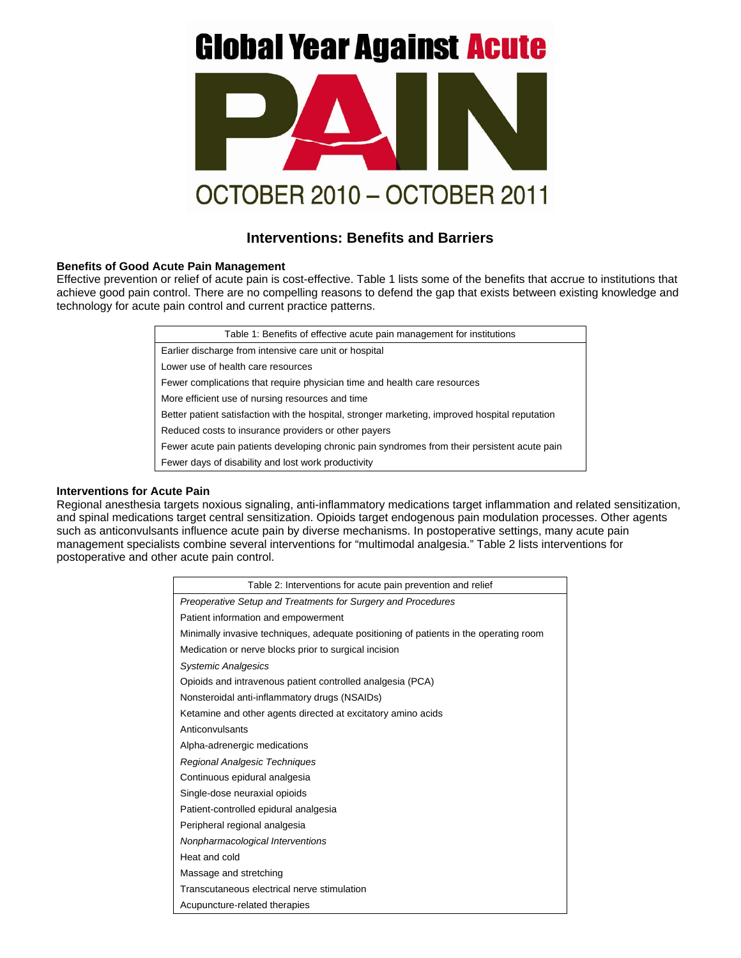# **Global Year Against Acute**



# **Interventions: Benefits and Barriers**

## **Benefits of Good Acute Pain Management**

Effective prevention or relief of acute pain is cost-effective. Table 1 lists some of the benefits that accrue to institutions that achieve good pain control. There are no compelling reasons to defend the gap that exists between existing knowledge and technology for acute pain control and current practice patterns.

| Table 1: Benefits of effective acute pain management for institutions                           |
|-------------------------------------------------------------------------------------------------|
| Earlier discharge from intensive care unit or hospital                                          |
| Lower use of health care resources                                                              |
| Fewer complications that require physician time and health care resources                       |
| More efficient use of nursing resources and time                                                |
| Better patient satisfaction with the hospital, stronger marketing, improved hospital reputation |
| Reduced costs to insurance providers or other payers                                            |
| Fewer acute pain patients developing chronic pain syndromes from their persistent acute pain    |
| Fewer days of disability and lost work productivity                                             |

#### **Interventions for Acute Pain**

Regional anesthesia targets noxious signaling, anti-inflammatory medications target inflammation and related sensitization, and spinal medications target central sensitization. Opioids target endogenous pain modulation processes. Other agents such as anticonvulsants influence acute pain by diverse mechanisms. In postoperative settings, many acute pain management specialists combine several interventions for "multimodal analgesia." Table 2 lists interventions for postoperative and other acute pain control.

| Table 2: Interventions for acute pain prevention and relief                           |
|---------------------------------------------------------------------------------------|
| Preoperative Setup and Treatments for Surgery and Procedures                          |
| Patient information and empowerment                                                   |
| Minimally invasive techniques, adequate positioning of patients in the operating room |
| Medication or nerve blocks prior to surgical incision                                 |
| <b>Systemic Analgesics</b>                                                            |
| Opioids and intravenous patient controlled analgesia (PCA)                            |
| Nonsteroidal anti-inflammatory drugs (NSAIDs)                                         |
| Ketamine and other agents directed at excitatory amino acids                          |
| Anticonvulsants                                                                       |
| Alpha-adrenergic medications                                                          |
| Regional Analgesic Techniques                                                         |
| Continuous epidural analgesia                                                         |
| Single-dose neuraxial opioids                                                         |
| Patient-controlled epidural analgesia                                                 |
| Peripheral regional analgesia                                                         |
| Nonpharmacological Interventions                                                      |
| Heat and cold                                                                         |
| Massage and stretching                                                                |
| Transcutaneous electrical nerve stimulation                                           |
| Acupuncture-related therapies                                                         |